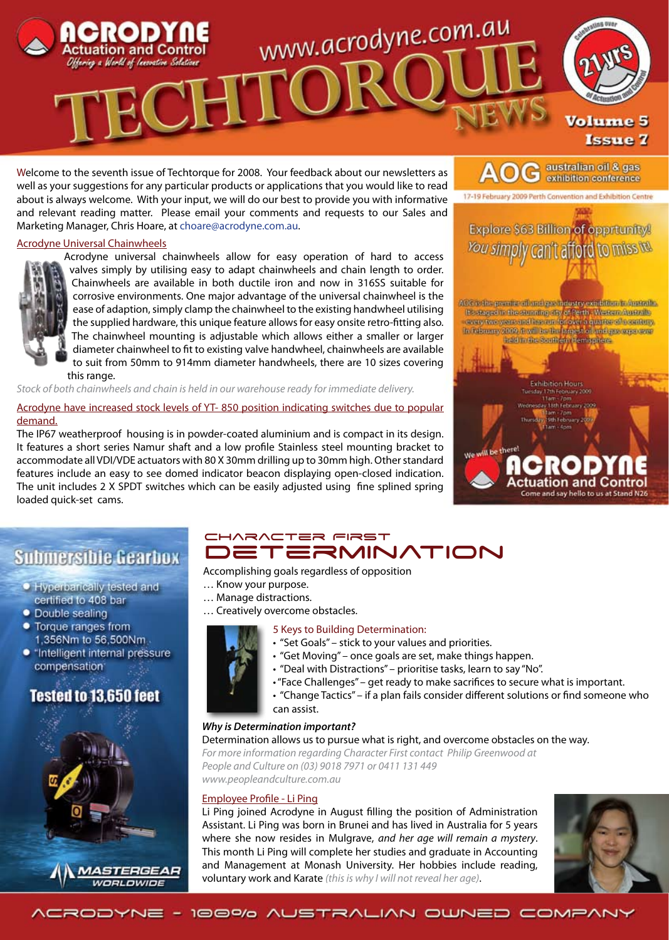

Welcome to the seventh issue of Techtorque for 2008. Your feedback about our newsletters as well as your suggestions for any particular products or applications that you would like to read about is always welcome. With your input, we will do our best to provide you with informative and relevant reading matter. Please email your comments and requests to our Sales and Marketing Manager, Chris Hoare, at choare@acrodyne.com.au.

#### Acrodyne Universal Chainwheels



Acrodyne universal chainwheels allow for easy operation of hard to access valves simply by utilising easy to adapt chainwheels and chain length to order. Chainwheels are available in both ductile iron and now in 316SS suitable for corrosive environments. One major advantage of the universal chainwheel is the ease of adaption, simply clamp the chainwheel to the existing handwheel utilising the supplied hardware, this unique feature allows for easy onsite retro-fitting also. The chainwheel mounting is adjustable which allows either a smaller or larger diameter chainwheel to fit to existing valve handwheel, chainwheels are available to suit from 50mm to 914mm diameter handwheels, there are 10 sizes covering this range.

*Stock of both chainwheels and chain is held in our warehouse ready for immediate delivery.*

Acrodyne have increased stock levels of YT- 850 position indicating switches due to popular demand.

The IP67 weatherproof housing is in powder-coated aluminium and is compact in its design. It features a short series Namur shaft and a low profile Stainless steel mounting bracket to accommodate all VDI/VDE actuators with 80 X 30mm drilling up to 30mm high. Other standard features include an easy to see domed indicator beacon displaying open-closed indication. The unit includes 2 X SPDT switches which can be easily adjusted using fine splined spring loaded quick-set cams.



australian oil & gas exhibition conference

# **Submersible Gearbox**

- **Hyperbarically tested and** certified to 408 bar
- Double sealing
- Torque ranges from 1,356Nm to 56,500Nm
- · "Intelligent internal pressure compensation<sup>®</sup>

# Tested to 13.650 feet



# CHARACTER FIRST **DETERMINATION**

Accomplishing goals regardless of opposition

- … Know your purpose.
- … Manage distractions.
- … Creatively overcome obstacles.

# 5 Keys to Building Determination:

- "Set Goals" stick to your values and priorities.
- "Get Moving" once goals are set, make things happen.
- "Deal with Distractions" prioritise tasks, learn to say "No".
- "Face Challenges" get ready to make sacrifices to secure what is important.
- "Change Tactics" if a plan fails consider different solutions or find someone who
- can assist.

#### *Why is Determination important?*

Determination allows us to pursue what is right, and overcome obstacles on the way. *For more information regarding Character First contact Philip Greenwood at People and Culture on (03) 9018 7971 or 0411 131 449*

*www.peopleandculture.com.au*

#### Employee Profile - Li Ping

Li Ping joined Acrodyne in August filling the position of Administration Assistant. Li Ping was born in Brunei and has lived in Australia for 5 years where she now resides in Mulgrave, *and her age will remain a mystery*. This month Li Ping will complete her studies and graduate in Accounting and Management at Monash University. Her hobbies include reading, voluntary work and Karate *(this is why I will not reveal her age)*.



ACRODYNE - 100% AUSTRALIAN OWNED COMPANY